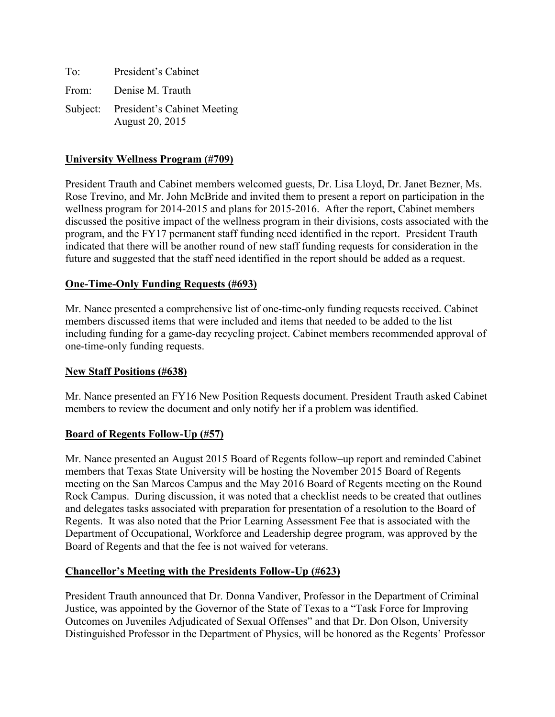| To:   | President's Cabinet                                     |
|-------|---------------------------------------------------------|
| From: | Denise M. Trauth                                        |
|       | Subject: President's Cabinet Meeting<br>August 20, 2015 |

## **University Wellness Program (#709)**

President Trauth and Cabinet members welcomed guests, Dr. Lisa Lloyd, Dr. Janet Bezner, Ms. Rose Trevino, and Mr. John McBride and invited them to present a report on participation in the wellness program for 2014-2015 and plans for 2015-2016. After the report, Cabinet members discussed the positive impact of the wellness program in their divisions, costs associated with the program, and the FY17 permanent staff funding need identified in the report. President Trauth indicated that there will be another round of new staff funding requests for consideration in the future and suggested that the staff need identified in the report should be added as a request.

## **One-Time-Only Funding Requests (#693)**

Mr. Nance presented a comprehensive list of one-time-only funding requests received. Cabinet members discussed items that were included and items that needed to be added to the list including funding for a game-day recycling project. Cabinet members recommended approval of one-time-only funding requests.

### **New Staff Positions (#638)**

Mr. Nance presented an FY16 New Position Requests document. President Trauth asked Cabinet members to review the document and only notify her if a problem was identified.

### **Board of Regents Follow-Up (#57)**

Mr. Nance presented an August 2015 Board of Regents follow–up report and reminded Cabinet members that Texas State University will be hosting the November 2015 Board of Regents meeting on the San Marcos Campus and the May 2016 Board of Regents meeting on the Round Rock Campus. During discussion, it was noted that a checklist needs to be created that outlines and delegates tasks associated with preparation for presentation of a resolution to the Board of Regents. It was also noted that the Prior Learning Assessment Fee that is associated with the Department of Occupational, Workforce and Leadership degree program, was approved by the Board of Regents and that the fee is not waived for veterans.

### **Chancellor's Meeting with the Presidents Follow-Up (#623)**

President Trauth announced that Dr. Donna Vandiver, Professor in the Department of Criminal Justice, was appointed by the Governor of the State of Texas to a "Task Force for Improving Outcomes on Juveniles Adjudicated of Sexual Offenses" and that Dr. Don Olson, University Distinguished Professor in the Department of Physics, will be honored as the Regents' Professor